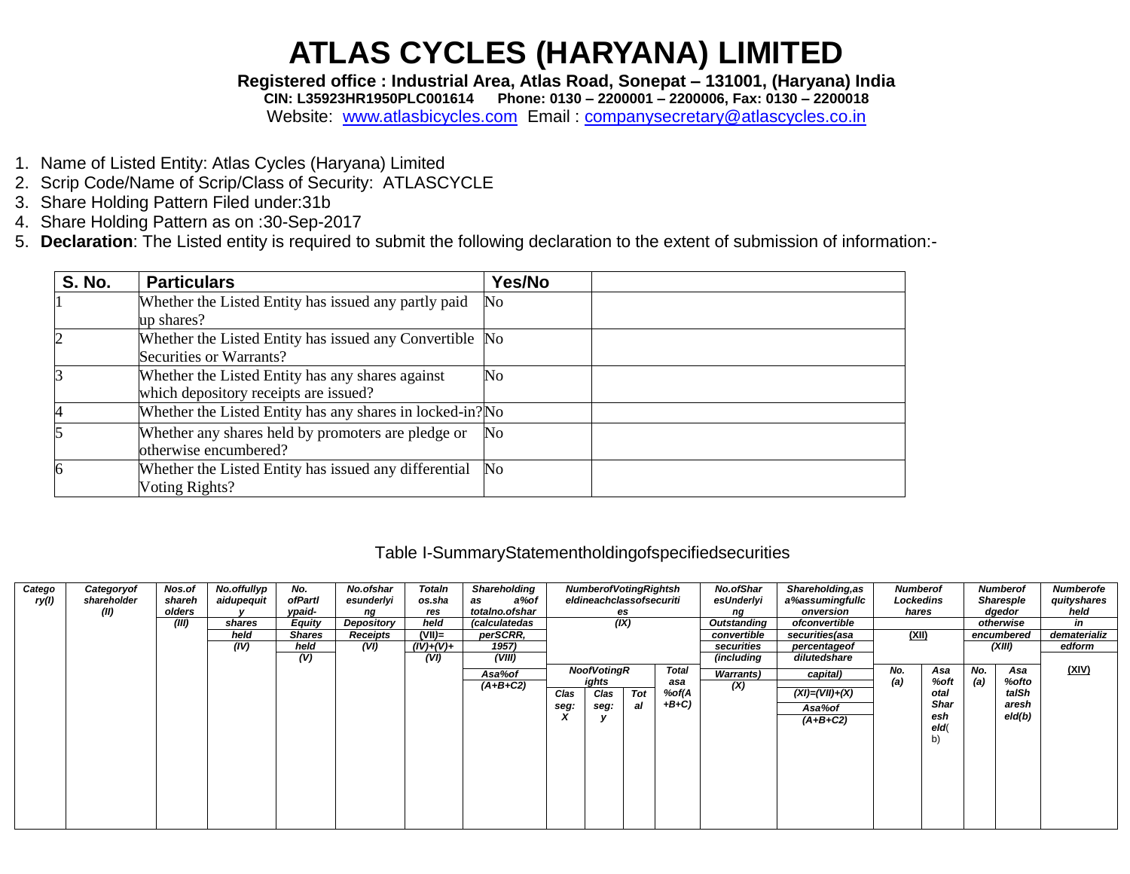Registered office : Industrial Area, Atlas Road, Sonepat - 131001, (Haryana) India

CIN: L35923HR1950PLC001614 Phone: 0130 - 2200001 - 2200006, Fax: 0130 - 2200018

Website: www.atlasbicycles.com Email: companysecretary@atlascycles.co.in

- 1. Name of Listed Entity: Atlas Cycles (Haryana) Limited
- 2. Scrip Code/Name of Scrip/Class of Security: ATLASCYCLE
- 3. Share Holding Pattern Filed under: 31b
- 4. Share Holding Pattern as on :30-Sep-2017
- 5. Declaration: The Listed entity is required to submit the following declaration to the extent of submission of information:-

| <b>S. No.</b> | <b>Particulars</b>                                                                        | Yes/No         |
|---------------|-------------------------------------------------------------------------------------------|----------------|
|               | Whether the Listed Entity has issued any partly paid<br>up shares?                        | No             |
|               | Whether the Listed Entity has issued any Convertible No<br>Securities or Warrants?        |                |
|               | Whether the Listed Entity has any shares against<br>which depository receipts are issued? | No             |
|               | Whether the Listed Entity has any shares in locked-in? No                                 |                |
|               | Whether any shares held by promoters are pledge or<br>otherwise encumbered?               | No             |
| 6             | Whether the Listed Entity has issued any differential<br>Voting Rights?                   | N <sub>0</sub> |

#### Table I-SummaryStatementholdingofspecifiedsecurities

| Catego<br>ry(l) | Categoryof<br>shareholder<br>(II) | Nos.of<br>shareh<br>olders<br>(III) | No.offullyp<br>aidupequit<br>shares<br>held<br>(IV) | No.<br>ofPartl<br>ypaid-<br><b>Equity</b><br><b>Shares</b><br>held | No.ofshar<br>esunderlyi<br>ng<br>Depository<br>Receipts<br>(VI) | Totaln<br>os.sha<br>res<br>held<br>$(VII)=$<br>$(IV)+(V)+$ | <b>Shareholding</b><br>a%of<br>as<br>totalno.ofshar<br>(calculatedas<br>perSCRR,<br>1957) |                   | <b>NumberofVotingRightsh</b><br>eldineachclassofsecuriti<br>(IX) | es        |                                          | <b>No.ofShar</b><br>esUnderlyi<br>ng<br>Outstanding<br>convertible<br>securities | Shareholding, as<br>a%assumingfullc<br>onversion<br>ofconvertible<br>securities(asa<br>percentageof | <b>Numberof</b><br>Lockedins<br>hares<br>(XII) |                                                         |            | <b>Numberof</b><br>Sharesple<br>dgedor<br>otherwise<br>encumbered<br>(XIII) | <b>Numberofe</b><br>quityshares<br>held<br>in<br>dematerializ<br>edform |
|-----------------|-----------------------------------|-------------------------------------|-----------------------------------------------------|--------------------------------------------------------------------|-----------------------------------------------------------------|------------------------------------------------------------|-------------------------------------------------------------------------------------------|-------------------|------------------------------------------------------------------|-----------|------------------------------------------|----------------------------------------------------------------------------------|-----------------------------------------------------------------------------------------------------|------------------------------------------------|---------------------------------------------------------|------------|-----------------------------------------------------------------------------|-------------------------------------------------------------------------|
|                 |                                   |                                     |                                                     | (V)                                                                |                                                                 | (VI)                                                       | (VIII)<br>Asa%of<br>$(A+B+C2)$                                                            | Clas<br>seg:<br>X | <b>NoofVotingR</b><br>ights<br>Clas<br>seg:                      | Tot<br>al | <b>Total</b><br>asa<br>%of(A<br>$+B+C$ ) | (including<br><b>Warrants</b> )<br>(X)                                           | dilutedshare<br>capital)<br>$(XI) = (VII) + (X)$<br>Asa%of<br>$(A+B+C2)$                            | No.<br>(a)                                     | Asa<br>%oft<br>otal<br><b>Shar</b><br>esh<br>eld(<br>b) | No.<br>(a) | Asa<br>%ofto<br>talSh<br>aresh<br>eld(b)                                    | (XIV)                                                                   |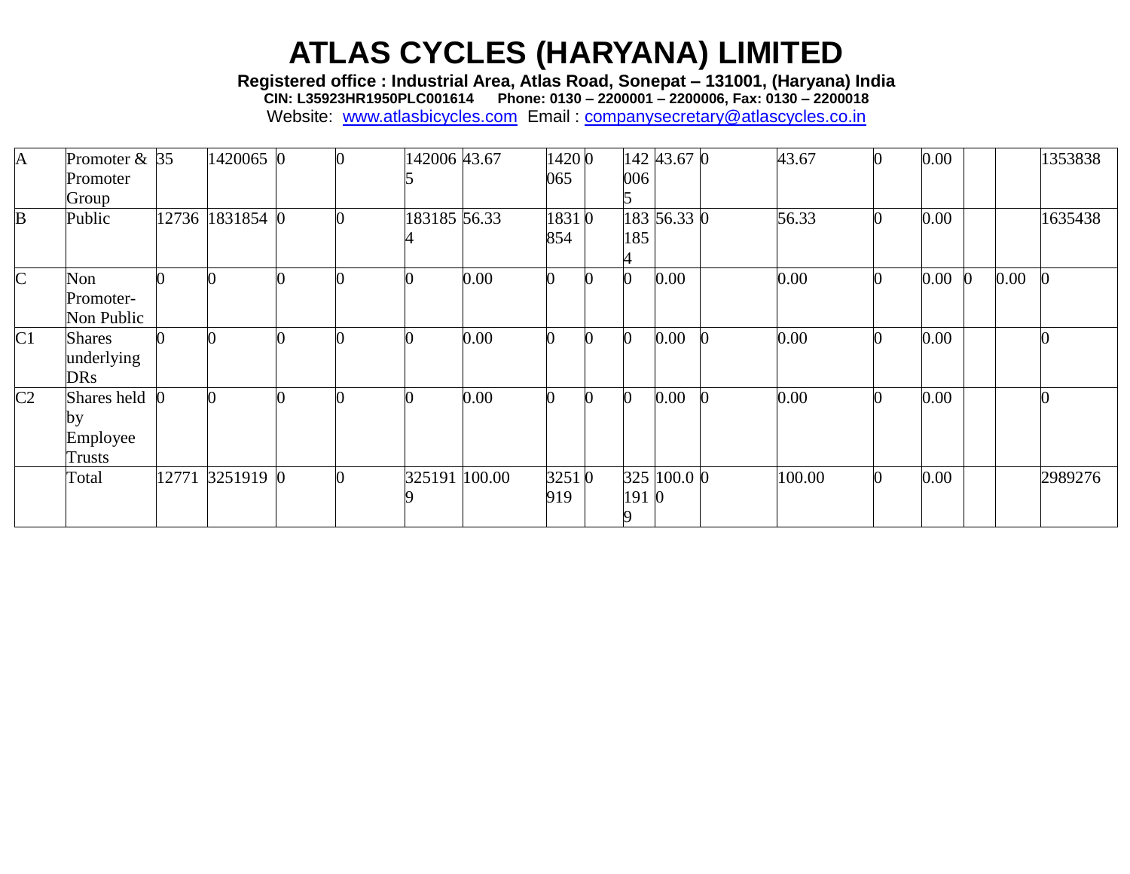**Registered office : Industrial Area, Atlas Road, Sonepat – 131001, (Haryana) India**

**CIN: L35923HR1950PLC001614 Phone: 0130 – 2200001 – 2200006, Fax: 0130 – 2200018**

| $\mathbf{A}$   | Promoter $& 35$<br>Promoter               | 1420065 0       |  | 142006 43.67  |      | 14200<br>065 | 006  | 142 43.67 0 | 43.67  | $\bf{0}$         | 0.00 |    |      | 1353838 |
|----------------|-------------------------------------------|-----------------|--|---------------|------|--------------|------|-------------|--------|------------------|------|----|------|---------|
|                | Group                                     |                 |  |               |      |              |      |             |        |                  |      |    |      |         |
| B              | Public                                    | 12736 1831854 0 |  | 183185 56.33  |      | 18310<br>854 | 185  | 183 56.33 0 | 56.33  | $\bf{0}$         | 0.00 |    |      | 1635438 |
| $\mathsf{C}$   | Non<br>Promoter-<br>Non Public            |                 |  |               | 0.00 | 0            |      | 0.00        | 0.00   | $\boldsymbol{0}$ | 0.00 | K) | 0.00 |         |
| C1             | <b>Shares</b><br>underlying<br><b>DRs</b> |                 |  |               | 0.00 |              |      | 0.00        | 0.00   |                  | 0.00 |    |      |         |
| C <sub>2</sub> | Shares held (<br>by<br>Employee<br>Trusts |                 |  |               | 0.00 |              |      | 0.00        | 0.00   |                  | 0.00 |    |      |         |
|                | Total                                     | 12771 3251919 0 |  | 325191 100.00 |      | 32510<br>919 | 1910 | 325 100.0 0 | 100.00 | <sup>0</sup>     | 0.00 |    |      | 2989276 |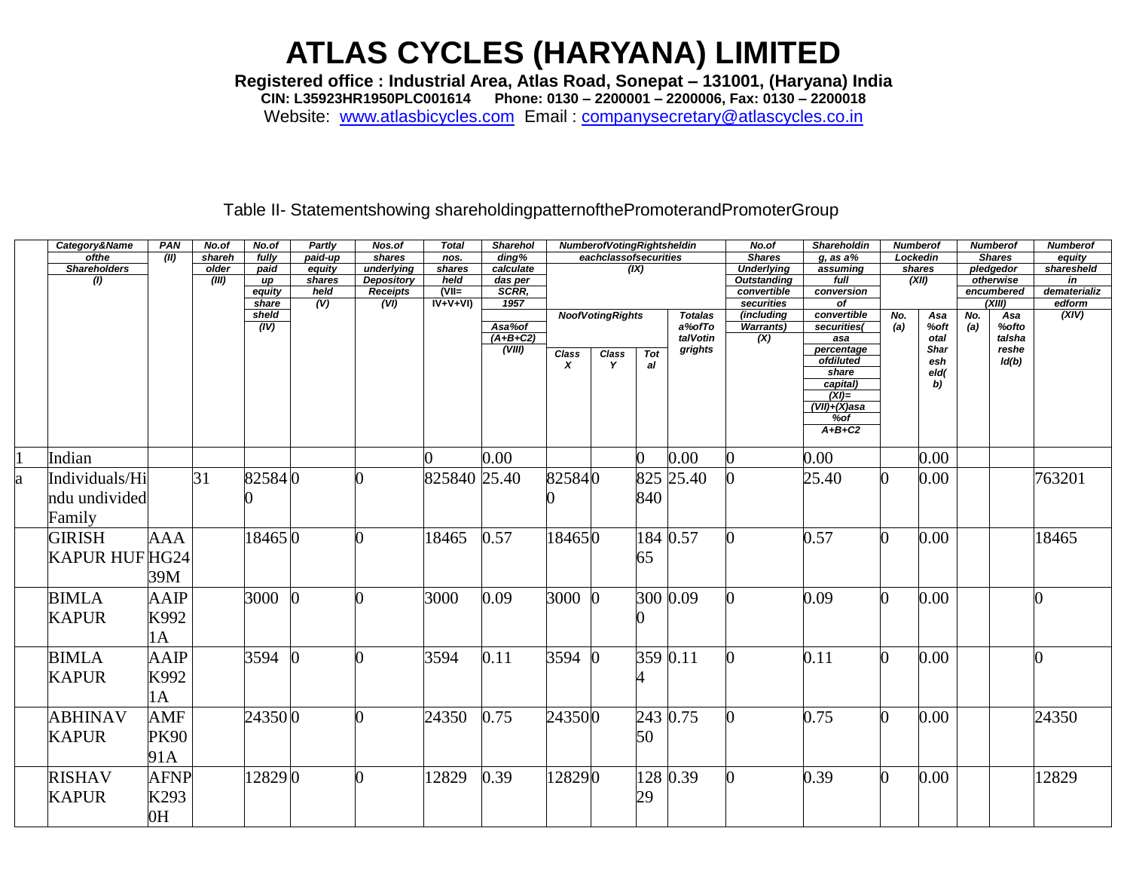Registered office : Industrial Area, Atlas Road, Sonepat - 131001, (Haryana) India<br>CIN: L35923HR1950PLC001614 Phone: 0130 - 2200001 - 2200006, Fax: 0130 - 2200018

Website: www.atlasbicycles.com Email: companysecretary@atlascycles.co.in

#### Table II- Statementshowing shareholdingpatternofthePromoterandPromoterGroup

|    | Category&Name             | PAN            | No.of  | No.of           | Partly                            | Nos.of                  | <b>Total</b>    | <b>Sharehol</b>     |                               | <b>NumberofVotingRightsheldin</b> |            |                | No.of                     | <b>Shareholdin</b>      | <b>Numberof</b> |             |     | <b>Numberof</b>      | <b>Numberof</b>    |
|----|---------------------------|----------------|--------|-----------------|-----------------------------------|-------------------------|-----------------|---------------------|-------------------------------|-----------------------------------|------------|----------------|---------------------------|-------------------------|-----------------|-------------|-----|----------------------|--------------------|
|    | ofthe                     | (II)           | shareh | fully           | paid-up                           | shares                  | nos.            | $\overline{diag\%}$ | eachclassofsecurities<br>(IX) |                                   |            |                | <b>Shares</b>             | $g$ , as a%             | Lockedin        |             |     | <b>Shares</b>        | equity             |
|    | <b>Shareholders</b>       |                | older  | paid            | equity                            | underlying              | shares          | calculate           |                               |                                   |            |                | <b>Underlying</b>         | assuming                |                 | shares      |     | pledgedor            | sharesheld         |
|    | $\overline{\textbf{(l)}}$ |                | (III)  | up              | shares                            | <b>Depository</b>       | held<br>$(VII=$ | das per             |                               |                                   |            |                | <b>Outstanding</b>        | full                    |                 | (XII)       |     | otherwise            | in<br>dematerializ |
|    |                           |                |        | equity<br>share | held<br>$\overline{(\mathsf{V})}$ | <b>Receipts</b><br>(VI) | $IV+V+VI$       | SCRR,<br>1957       |                               |                                   |            |                | convertible<br>securities | conversion<br>of        |                 |             |     | encumbered<br>(XIII) | edform             |
|    |                           |                |        | sheld           |                                   |                         |                 |                     |                               | <b>NoofVotingRights</b>           |            | <b>Totalas</b> | (including                | convertible             | No.             | Asa         | No. | Asa                  | (XIV)              |
|    |                           |                |        | (IV)            |                                   |                         |                 | Asa%of              |                               |                                   |            | a%ofTo         | <b>Warrants</b> )         | securities(             | (a)             | %oft        | (a) | %ofto                |                    |
|    |                           |                |        |                 |                                   |                         |                 | $(A+B+C2)$          |                               |                                   |            | talVotin       | $\overline{(\mathsf{X})}$ | asa                     |                 | otal        |     | talsha               |                    |
|    |                           |                |        |                 |                                   |                         |                 | (VIII)              | <b>Class</b>                  | <b>Class</b>                      | <b>Tot</b> | grights        |                           | percentage<br>ofdiluted |                 | <b>Shar</b> |     | reshe                |                    |
|    |                           |                |        |                 |                                   |                         |                 |                     | x                             | Y                                 | al         |                |                           | share                   |                 | esh<br>eld( |     | ld(b)                |                    |
|    |                           |                |        |                 |                                   |                         |                 |                     |                               |                                   |            |                |                           | capital)                |                 | b)          |     |                      |                    |
|    |                           |                |        |                 |                                   |                         |                 |                     |                               |                                   |            |                |                           | $(XI)=$                 |                 |             |     |                      |                    |
|    |                           |                |        |                 |                                   |                         |                 |                     |                               |                                   |            |                |                           | (VII)+(X)asa            |                 |             |     |                      |                    |
|    |                           |                |        |                 |                                   |                         |                 |                     |                               |                                   |            |                |                           | $%$ of<br>$A+B+C2$      |                 |             |     |                      |                    |
|    |                           |                |        |                 |                                   |                         |                 |                     |                               |                                   |            |                |                           |                         |                 |             |     |                      |                    |
|    | Indian                    |                |        |                 |                                   |                         |                 | 0.00                |                               |                                   |            | 0.00           |                           | 0.00                    |                 | 0.00        |     |                      |                    |
| ła | Individuals/Hi            |                | 31     | 825840          |                                   |                         | 825840 25.40    |                     | 825840                        |                                   | 825        | 25.40          |                           | 25.40                   | ∩               | 0.00        |     |                      | 763201             |
|    |                           |                |        |                 |                                   |                         |                 |                     |                               |                                   |            |                |                           |                         |                 |             |     |                      |                    |
|    | ndu undivided             |                |        |                 |                                   |                         |                 |                     |                               |                                   | 840        |                |                           |                         |                 |             |     |                      |                    |
|    | Family                    |                |        |                 |                                   |                         |                 |                     |                               |                                   |            |                |                           |                         |                 |             |     |                      |                    |
|    | <b>GIRISH</b>             | AAA            |        | 184650          |                                   |                         | 18465           | 0.57                | 184650                        |                                   |            | 184 0.57       |                           | 0.57                    | O.              | 0.00        |     |                      | 18465              |
|    |                           |                |        |                 |                                   |                         |                 |                     |                               |                                   |            |                |                           |                         |                 |             |     |                      |                    |
|    | <b>KAPUR HUF HG24</b>     |                |        |                 |                                   |                         |                 |                     |                               |                                   | 65         |                |                           |                         |                 |             |     |                      |                    |
|    |                           | 39M            |        |                 |                                   |                         |                 |                     |                               |                                   |            |                |                           |                         |                 |             |     |                      |                    |
|    | <b>BIMLA</b>              | <b>AAIP</b>    |        | 3000            |                                   |                         | 3000            | 0.09                | 3000                          |                                   |            | 300 0.09       |                           | 0.09                    | O.              | 0.00        |     |                      |                    |
|    |                           |                |        |                 |                                   |                         |                 |                     |                               |                                   |            |                |                           |                         |                 |             |     |                      |                    |
|    | <b>KAPUR</b>              | K992           |        |                 |                                   |                         |                 |                     |                               |                                   |            |                |                           |                         |                 |             |     |                      |                    |
|    |                           | 1A             |        |                 |                                   |                         |                 |                     |                               |                                   |            |                |                           |                         |                 |             |     |                      |                    |
|    |                           |                |        |                 | $\Omega$                          |                         |                 |                     |                               |                                   |            | 359 0.11       |                           |                         |                 |             |     |                      |                    |
|    | <b>BIMLA</b>              | <b>AAIP</b>    |        | 3594            |                                   |                         | 3594            | 0.11                | 3594                          |                                   |            |                |                           | 0.11                    | 0               | 0.00        |     |                      |                    |
|    | <b>KAPUR</b>              | K992           |        |                 |                                   |                         |                 |                     |                               |                                   |            |                |                           |                         |                 |             |     |                      |                    |
|    |                           | 1A             |        |                 |                                   |                         |                 |                     |                               |                                   |            |                |                           |                         |                 |             |     |                      |                    |
|    |                           |                |        |                 |                                   |                         |                 |                     |                               |                                   |            |                |                           |                         |                 |             |     |                      |                    |
|    | <b>ABHINAV</b>            | AMF            |        | 243500          |                                   |                         | 24350           | 0.75                | 243500                        |                                   | 243        | 0.75           |                           | 0.75                    | 0               | 0.00        |     |                      | 24350              |
|    | <b>KAPUR</b>              | <b>PK90</b>    |        |                 |                                   |                         |                 |                     |                               |                                   | 50         |                |                           |                         |                 |             |     |                      |                    |
|    |                           |                |        |                 |                                   |                         |                 |                     |                               |                                   |            |                |                           |                         |                 |             |     |                      |                    |
|    |                           | 91A            |        |                 |                                   |                         |                 |                     |                               |                                   |            |                |                           |                         |                 |             |     |                      |                    |
|    | <b>RISHAV</b>             | <b>AFNP</b>    |        | 128290          |                                   |                         | 12829           | 0.39                | 128290                        |                                   | 128        | 0.39           |                           | 0.39                    | $\Omega$        | 0.00        |     |                      | 12829              |
|    | <b>KAPUR</b>              | K293           |        |                 |                                   |                         |                 |                     |                               |                                   | 29         |                |                           |                         |                 |             |     |                      |                    |
|    |                           |                |        |                 |                                   |                         |                 |                     |                               |                                   |            |                |                           |                         |                 |             |     |                      |                    |
|    |                           | H <sub>0</sub> |        |                 |                                   |                         |                 |                     |                               |                                   |            |                |                           |                         |                 |             |     |                      |                    |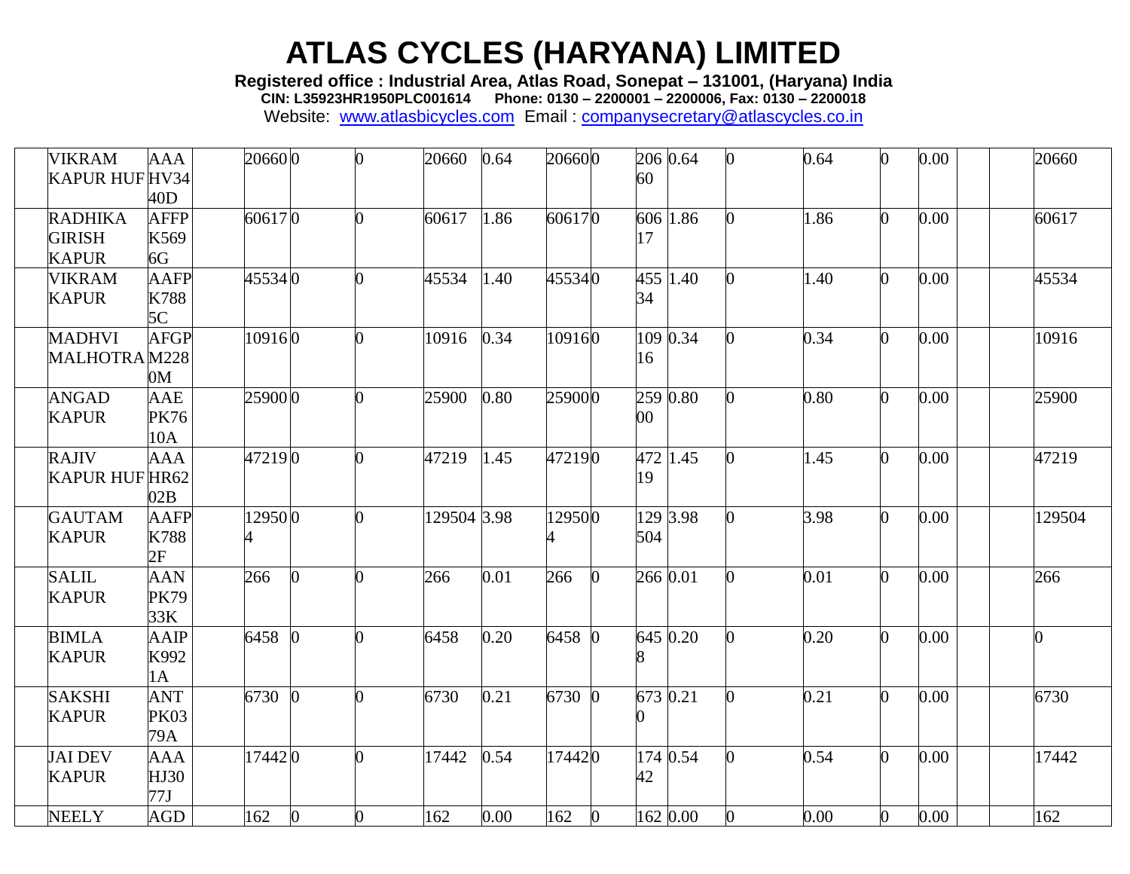**Registered office : Industrial Area, Atlas Road, Sonepat – 131001, (Haryana) India**

**CIN: L35923HR1950PLC001614 Phone: 0130 – 2200001 – 2200006, Fax: 0130 – 2200018**

| <b>VIKRAM</b><br>KAPUR HUF HV34                 | <b>AAA</b><br>40D                | 206600      | 0        | 20660       | 0.64 | 206600              | 60  | 206 0.64   | 0.64 | 0.00 | 20660  |
|-------------------------------------------------|----------------------------------|-------------|----------|-------------|------|---------------------|-----|------------|------|------|--------|
| <b>RADHIKA</b><br><b>GIRISH</b><br><b>KAPUR</b> | <b>AFFP</b><br>K569<br>6G        | 606170      |          | 60617       | 1.86 | 606170              | 17  | 606 1.86   | 1.86 | 0.00 | 60617  |
| <b>VIKRAM</b><br><b>KAPUR</b>                   | <b>AAFP</b><br>K788<br>5C        | 455340      |          | 45534       | 1.40 | 455340              | 34  | 455 $1.40$ | 1.40 | 0.00 | 45534  |
| <b>MADHVI</b><br>MALHOTRAM228                   | <b>AFGP</b><br>0 <sub>M</sub>    | 109160      | ∩        | 10916       | 0.34 | 109160              | 16  | 109 0.34   | 0.34 | 0.00 | 10916  |
| <b>ANGAD</b><br><b>KAPUR</b>                    | AAE<br><b>PK76</b><br>10A        | 259000      |          | 25900       | 0.80 | 259000              | 00  | 259 0.80   | 0.80 | 0.00 | 25900  |
| <b>RAJIV</b><br>KAPUR HUF HR62                  | <b>AAA</b><br>02B                | 472190      |          | 47219       | 1.45 | 472190              | 19  | 472 1.45   | 1.45 | 0.00 | 47219  |
| <b>GAUTAM</b><br><b>KAPUR</b>                   | <b>AAFP</b><br>K788<br>2F        | 129500<br>4 |          | 129504 3.98 |      | 129500              | 504 | 129 3.98   | 3.98 | 0.00 | 129504 |
| <b>SALIL</b><br><b>KAPUR</b>                    | <b>AAN</b><br><b>PK79</b><br>33K | 266         | ∩        | 266         | 0.01 | 266<br><sup>o</sup> |     | 266 0.01   | 0.01 | 0.00 | 266    |
| <b>BIMLA</b><br><b>KAPUR</b>                    | <b>AAIP</b><br>K992<br>1A        | 6458        |          | 6458        | 0.20 | 6458 0              | 8   | 645 0.20   | 0.20 | 0.00 | O.     |
| <b>SAKSHI</b><br><b>KAPUR</b>                   | <b>ANT</b><br><b>PK03</b><br>79A | 6730        | Ю        | 6730        | 0.21 | 6730 0              |     | 673 0.21   | 0.21 | 0.00 | 6730   |
| <b>JAI DEV</b><br><b>KAPUR</b>                  | <b>AAA</b><br>HJ30<br>77J        | 174420      |          | 17442       | 0.54 | 174420              | 42  | 174 0.54   | 0.54 | 0.00 | 17442  |
| <b>NEELY</b>                                    | AGD                              | 162         | $\Omega$ | 162         | 0.00 | 162<br>$\Omega$     |     | 162 0.00   | 0.00 | 0.00 | 162    |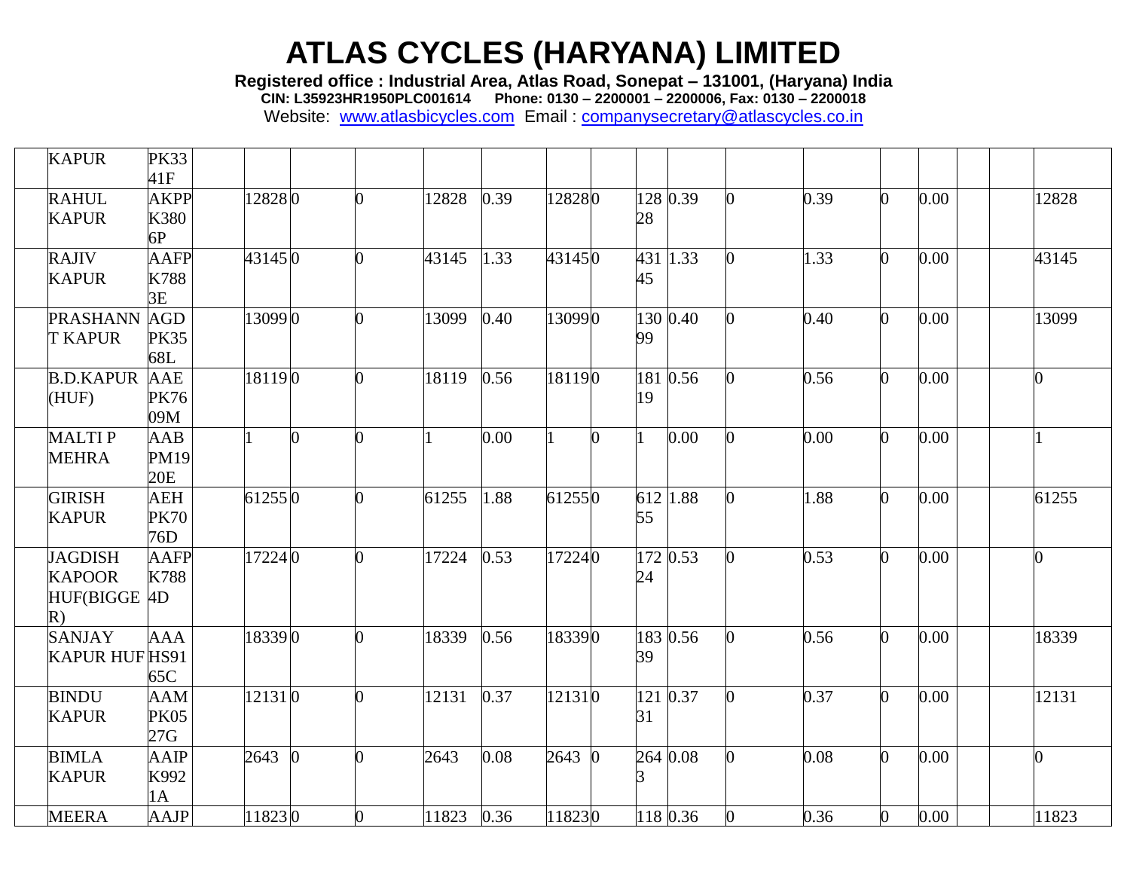**Registered office : Industrial Area, Atlas Road, Sonepat – 131001, (Haryana) India**

**CIN: L35923HR1950PLC001614 Phone: 0130 – 2200001 – 2200006, Fax: 0130 – 2200018**

| <b>KAPUR</b>                                          | <b>PK33</b><br>41F               |        |          |       |      |        |              |           |          |                |      |                |      |                |       |
|-------------------------------------------------------|----------------------------------|--------|----------|-------|------|--------|--------------|-----------|----------|----------------|------|----------------|------|----------------|-------|
| <b>RAHUL</b><br><b>KAPUR</b>                          | <b>AKPP</b><br>K380<br>6P        | 128280 | 0        | 12828 | 0.39 | 128280 |              | 28        | 128 0.39 | $\Omega$       | 0.39 | O.             | 0.00 |                | 12828 |
| <b>RAJIV</b><br><b>KAPUR</b>                          | <b>AAFP</b><br>K788<br>3E        | 431450 | O        | 43145 | 1.33 | 431450 |              | 431<br>45 | 1.33     | 0              | 1.33 | $\Omega$       | 0.00 |                | 43145 |
| <b>PRASHANN</b><br><b>T KAPUR</b>                     | <b>AGD</b><br><b>PK35</b><br>68L | 130990 | O        | 13099 | 0.40 | 130990 |              | 99        | 130 0.40 | 0              | 0.40 | $\Omega$       | 0.00 |                | 13099 |
| <b>B.D.KAPUR</b><br>(HUF)                             | <b>AAE</b><br><b>PK76</b><br>09M | 181190 | $\Omega$ | 18119 | 0.56 | 181190 |              | 19        | 181 0.56 | 0              | 0.56 | 0              | 0.00 | $\overline{0}$ |       |
| <b>MALTIP</b><br><b>MEHRA</b>                         | AAB<br><b>PM19</b><br>20E        |        | $\Omega$ |       | 0.00 |        | <sup>0</sup> |           | 0.00     | 0              | 0.00 | O.             | 0.00 |                |       |
| <b>GIRISH</b><br><b>KAPUR</b>                         | <b>AEH</b><br><b>PK70</b><br>76D | 612550 | 0        | 61255 | 1.88 | 612550 |              | 55        | 612 1.88 | $\overline{0}$ | 1.88 | 0              | 0.00 |                | 61255 |
| <b>JAGDISH</b><br><b>KAPOOR</b><br>HUF(BIGGE 4D<br>R) | <b>AAFP</b><br>K788              | 172240 | $\Omega$ | 17224 | 0.53 | 172240 |              | 24        | 172 0.53 | 0              | 0.53 | 0              | 0.00 |                |       |
| <b>SANJAY</b><br><b>KAPUR HUF HS91</b>                | <b>AAA</b><br>65C                | 183390 | ∩        | 18339 | 0.56 | 183390 |              | 39        | 183 0.56 | 0              | 0.56 | O.             | 0.00 |                | 18339 |
| <b>BINDU</b><br><b>KAPUR</b>                          | <b>AAM</b><br><b>PK05</b><br>27G | 121310 | O        | 12131 | 0.37 | 121310 |              | 31        | 121 0.37 | $\Omega$       | 0.37 | 0              | 0.00 |                | 12131 |
| <b>BIMLA</b><br><b>KAPUR</b>                          | AAIP<br>K992<br>1A               | 2643   | 0        | 2643  | 0.08 | 2643 0 |              |           | 264 0.08 | 0              | 0.08 | $\overline{0}$ | 0.00 | $\overline{0}$ |       |
| <b>MEERA</b>                                          | AAJP                             | 118230 | 0        | 11823 | 0.36 | 118230 |              |           | 118 0.36 | 0              | 0.36 | 0              | 0.00 |                | 11823 |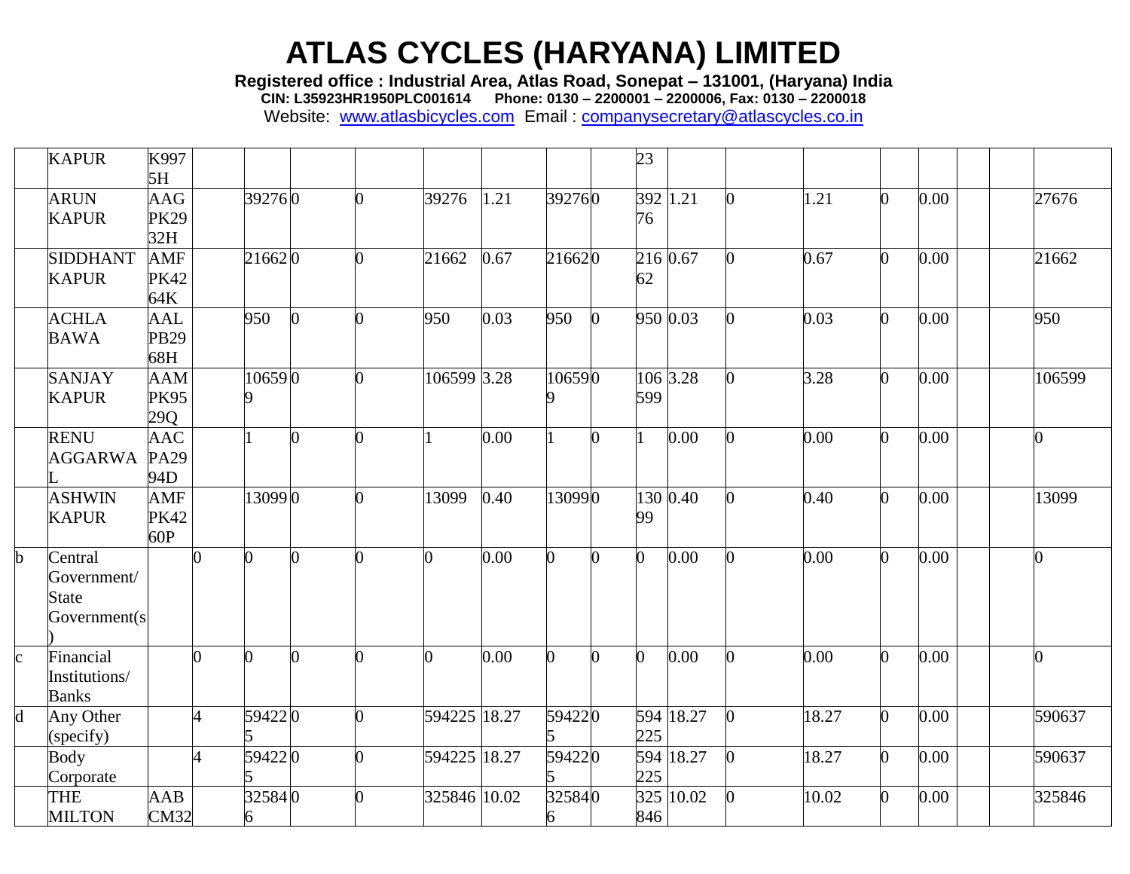**Registered office : Industrial Area, Atlas Road, Sonepat – 131001, (Haryana) India**

**CIN: L35923HR1950PLC001614 Phone: 0130 – 2200001 – 2200006, Fax: 0130 – 2200018**

|              | <b>KAPUR</b>                                            | K997<br>5H                       |                      |             |   |    |              |      |             |              | 23              |           |                |       |                |      |                |
|--------------|---------------------------------------------------------|----------------------------------|----------------------|-------------|---|----|--------------|------|-------------|--------------|-----------------|-----------|----------------|-------|----------------|------|----------------|
|              | <b>ARUN</b><br><b>KAPUR</b>                             | AAG<br><b>PK29</b><br>32H        |                      | 392760      |   | 0  | 39276        | 1.21 | 392760      |              | 392 1.21<br>76  |           | $\Omega$       | 1.21  | 0              | 0.00 | 27676          |
|              | <b>SIDDHANT</b><br><b>KAPUR</b>                         | <b>AMF</b><br><b>PK42</b><br>64K |                      | 216620      |   | 0  | 21662        | 0.67 | 216620      |              | 216 0.67<br>62  |           | 0              | 0.67  | $\Omega$       | 0.00 | 21662          |
|              | <b>ACHLA</b><br><b>BAWA</b>                             | <b>AAL</b><br>PB29<br>68H        |                      | 950         | U | O. | 950          | 0.03 | 950         | $\Omega$     | 950 0.03        |           | 0              | 0.03  | O.             | 0.00 | 950            |
|              | <b>SANJAY</b><br><b>KAPUR</b>                           | <b>AAM</b><br><b>PK95</b><br>29Q |                      | 106590      |   | ∩  | 106599 3.28  |      | 106590      |              | 106 3.28<br>599 |           | 0              | 3.28  | $\overline{0}$ | 0.00 | 106599         |
|              | <b>RENU</b><br><b>AGGARWA</b>                           | <b>AAC</b><br>PA29<br>94D        |                      |             |   |    |              | 0.00 |             |              |                 | 0.00      | 0              | 0.00  | O.             | 0.00 |                |
|              | <b>ASHWIN</b><br><b>KAPUR</b>                           | <b>AMF</b><br><b>PK42</b><br>60P |                      | 130990      |   | O  | 13099        | 0.40 | 130990      |              | 99              | 130 0.40  | 0              | 0.40  | O.             | 0.00 | 13099          |
| b            | Central<br>Government/<br><b>State</b><br>Government(s) |                                  |                      | $\Omega$    |   | O  | 0            | 0.00 | 0           | h            | $\overline{0}$  | 0.00      | 0              | 0.00  | 0              | 0.00 |                |
| $\mathbf{c}$ | Financial<br>Institutions/<br><b>Banks</b>              |                                  | 0                    | 0           |   | 0  | n.           | 0.00 | b           | <sup>0</sup> | $\overline{0}$  | 0.00      | 0              | 0.00  | b.             | 0.00 | $\overline{0}$ |
| d            | Any Other<br>(specify)                                  |                                  | $\Lambda$            | 594220      |   | O  | 594225 18.27 |      | 594220      |              | 225             | 594 18.27 | $\overline{0}$ | 18.27 | $\Omega$       | 0.00 | 590637         |
|              | <b>Body</b><br>Corporate                                |                                  | $\overline{\Lambda}$ | 594220      |   | 0  | 594225 18.27 |      | 594220      |              | 225             | 594 18.27 | $\Omega$       | 18.27 | O.             | 0.00 | 590637         |
|              | THE<br><b>MILTON</b>                                    | AAB<br>CM32                      |                      | 325840<br>6 |   |    | 325846 10.02 |      | 325840<br>6 |              | 846             | 325 10.02 | 0              | 10.02 | $\overline{0}$ | 0.00 | 325846         |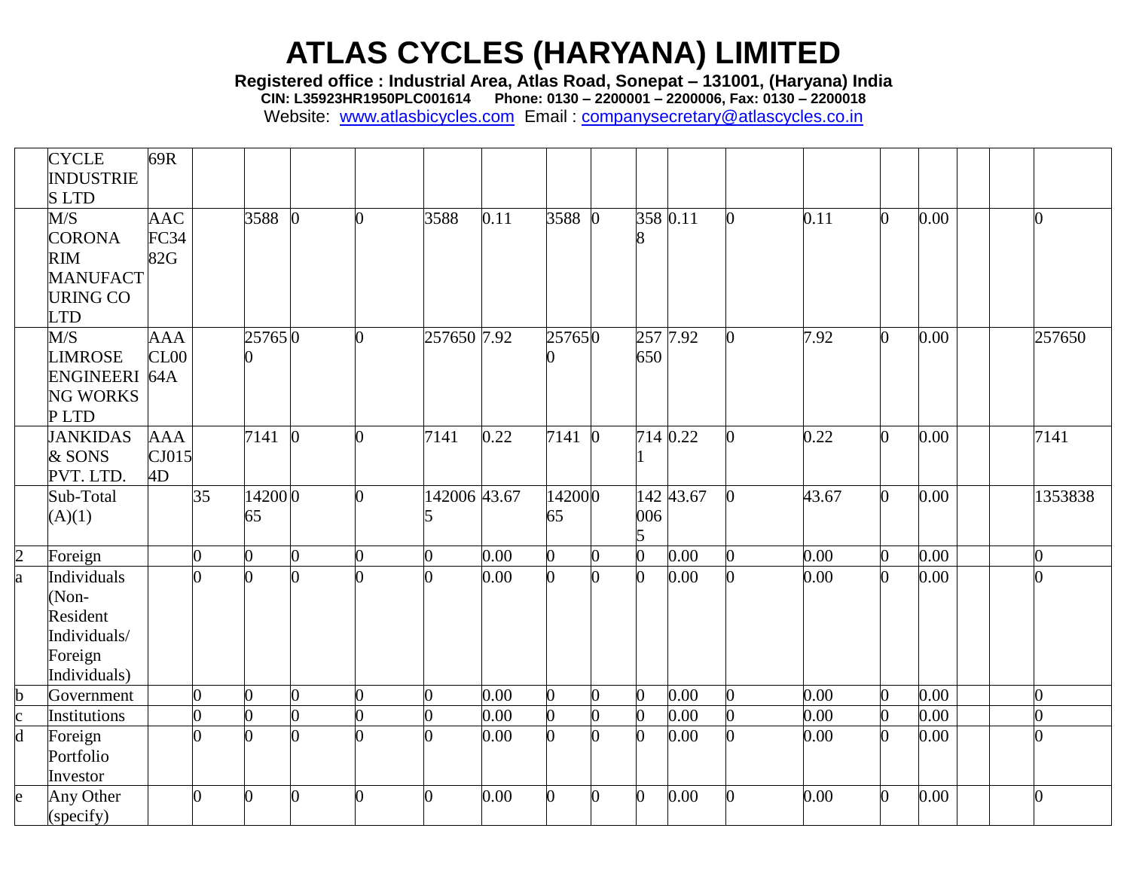**Registered office : Industrial Area, Atlas Road, Sonepat – 131001, (Haryana) India**

**CIN: L35923HR1950PLC001614 Phone: 0130 – 2200001 – 2200006, Fax: 0130 – 2200018**

|                         | <b>CYCLE</b><br><b>INDUSTRIE</b>                                                       | 69R                            |          |              |                |                |              |      |                |          |                       |           |          |       |                |      |                |
|-------------------------|----------------------------------------------------------------------------------------|--------------------------------|----------|--------------|----------------|----------------|--------------|------|----------------|----------|-----------------------|-----------|----------|-------|----------------|------|----------------|
|                         | <b>SLTD</b>                                                                            |                                |          |              |                |                |              |      |                |          |                       |           |          |       |                |      |                |
|                         | M/S<br><b>CORONA</b><br><b>RIM</b><br><b>MANUFACT</b><br><b>URING CO</b><br><b>LTD</b> | <b>AAC</b><br>FC34<br>82G      |          | 3588         | $\overline{0}$ | $\overline{0}$ | 3588         | 0.11 | 3588 0         |          | 358 $0.\overline{11}$ |           | $\Omega$ | 0.11  | $\Omega$       | 0.00 | $\overline{0}$ |
|                         | M/S<br><b>LIMROSE</b><br>ENGINEERI 64A<br><b>NG WORKS</b><br>PLTD                      | <b>AAA</b><br>CL <sub>00</sub> |          | 257650       |                | O              | 257650 7.92  |      | 257650         |          | 257 7.92<br>650       |           | O.       | 7.92  | 0              | 0.00 | 257650         |
|                         | <b>JANKIDAS</b><br>& SONS<br>PVT. LTD.                                                 | <b>AAA</b><br>CJ015<br>4D      |          | 7141         | $\Omega$       | 0              | 7141         | 0.22 | 7141           | $\Omega$ | 714 0.22              |           | 0        | 0.22  | $\Omega$       | 0.00 | 7141           |
|                         | Sub-Total<br>(A)(1)                                                                    |                                | 35       | 142000<br>65 |                | O.             | 142006 43.67 |      | 142000<br>65   |          | 006<br>5              | 142 43.67 | $\Omega$ | 43.67 | 0              | 0.00 | 1353838        |
| $\overline{2}$          | Foreign                                                                                |                                | 0        | 0            | 0              | 0              | 0            | 0.00 | $\overline{0}$ |          |                       | 0.00      |          | 0.00  | n.             | 0.00 | <sup>o</sup>   |
| a                       | Individuals<br>(Non-<br>Resident<br>Individuals/<br>Foreign<br>Individuals)            |                                |          |              |                |                |              | 0.00 | 0              |          |                       | 0.00      |          | 0.00  |                | 0.00 |                |
| $\mathbf b$             | Government                                                                             |                                | 0        | ∩            | $\overline{0}$ | 0              |              | 0.00 | $\mathbf{0}$   |          |                       | 0.00      |          | 0.00  | 0              | 0.00 | 0              |
| $\mathbf{c}$            | Institutions                                                                           |                                | 0        | 0            | 0              |                |              | 0.00 | $\overline{0}$ | O        |                       | 0.00      |          | 0.00  | $\overline{0}$ | 0.00 | 0              |
| $\overline{\mathbf{d}}$ | Foreign<br>Portfolio<br>Investor                                                       |                                | $\Omega$ | ∩            |                |                |              | 0.00 | h              | ∩        | U                     | 0.00      |          | 0.00  | $\overline{0}$ | 0.00 | $\overline{0}$ |
| e                       | Any Other<br>(specify)                                                                 |                                | 0        | ∩            |                | 0              |              | 0.00 | 0              |          |                       | 0.00      |          | 0.00  | $\Omega$       | 0.00 | $\overline{0}$ |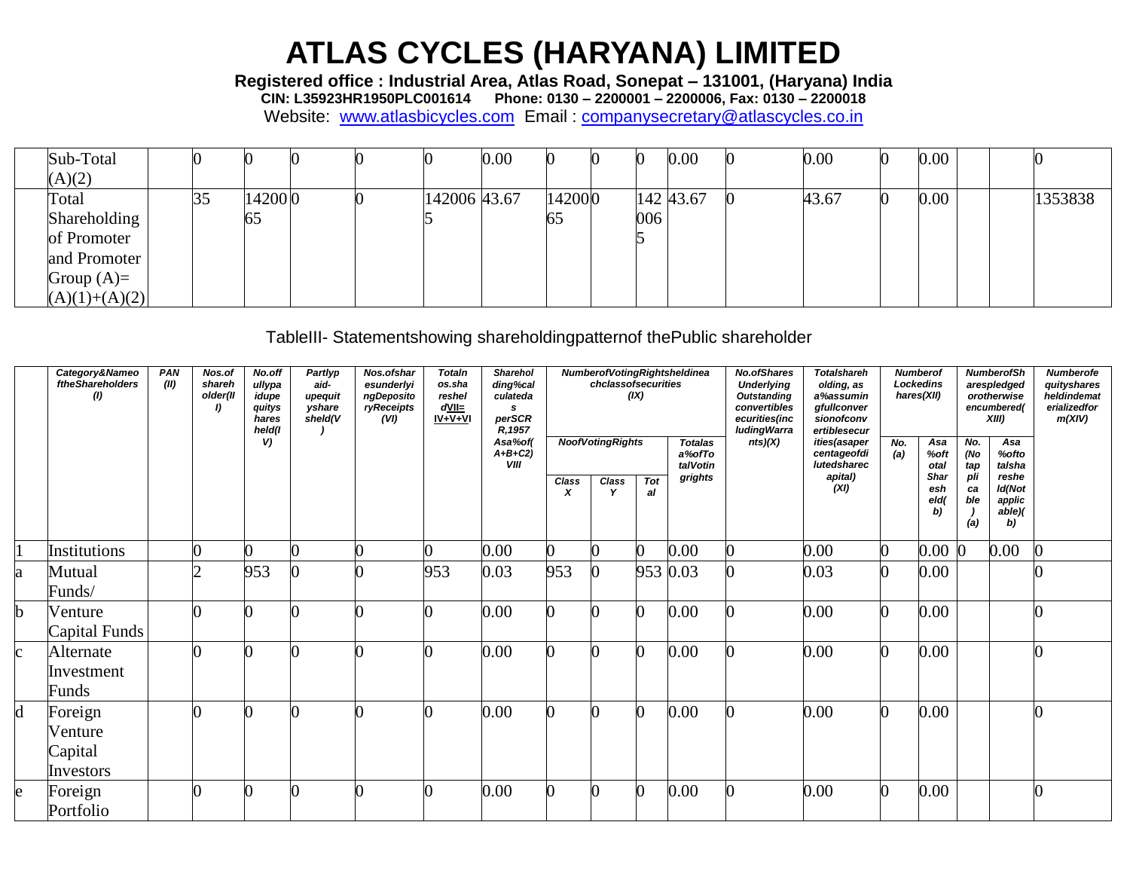Registered office : Industrial Area, Atlas Road, Sonepat - 131001, (Haryana) India<br>CIN: L35923HR1950PLC001614 Phone: 0130 - 2200001 - 2200006, Fax: 0130 - 2200018

Website: www.atlasbicycles.com Email: companysecretary@atlascycles.co.in

| Sub-Total       |    |        |  |              | 0.00 |        |     | $0.00\,$  | 0.00  | 0.00     |  |         |
|-----------------|----|--------|--|--------------|------|--------|-----|-----------|-------|----------|--|---------|
| (A)(2)          |    |        |  |              |      |        |     |           |       |          |  |         |
| Total           | 35 | 142000 |  | 142006 43.67 |      | 142000 |     | 142 43.67 | 43.67 | $0.00\,$ |  | 1353838 |
| Shareholding    |    | 65     |  |              |      | 65     | 006 |           |       |          |  |         |
| of Promoter     |    |        |  |              |      |        |     |           |       |          |  |         |
| and Promoter    |    |        |  |              |      |        |     |           |       |          |  |         |
| Group $(A)=$    |    |        |  |              |      |        |     |           |       |          |  |         |
| $(A)(1)+(A)(2)$ |    |        |  |              |      |        |     |           |       |          |  |         |

TableIII- Statementshowing shareholdingpatternof thePublic shareholder

|              | Category&Nameo<br>ftheShareholders<br>$\left( I\right)$ | PAN<br>(II) | Nos.of<br>shareh<br>older(II<br>I) | No.off<br>ullypa<br>idupe<br>quitys<br>hares<br>held(I | Partlyp<br>aid-<br>upequit<br>yshare<br>sheld(V | Nos.ofshar<br>esunderlyi<br>ngDeposito<br>ryReceipts<br>(VI) | <b>Totaln</b><br>os.sha<br>reshel<br>$d$ VII $=$<br>$IV + V + VI$ | <b>Sharehol</b><br>ding%cal<br>culateda<br>s<br>perSCR<br>R, 1957 |            | chclassofsecurities     | (IX)      | <b>NumberofVotingRightsheldinea</b>  | <b>No.ofShares</b><br><b>Underlying</b><br><b>Outstanding</b><br>convertibles<br>ecurities(inc<br><b>ludingWarra</b> | <b>Totalshareh</b><br>olding, as<br>a%assumin<br>gfullconver<br>sionofconv<br>ertiblesecur |            | <b>Numberof</b><br><b>Lockedins</b><br>hares(XII) |                         | <b>NumberofSh</b><br>arespledged<br>orotherwise<br>encumbered(<br>XIII | <b>Numberofe</b><br>quityshares<br>heldindemat<br>erializedfor<br>m(XIV) |
|--------------|---------------------------------------------------------|-------------|------------------------------------|--------------------------------------------------------|-------------------------------------------------|--------------------------------------------------------------|-------------------------------------------------------------------|-------------------------------------------------------------------|------------|-------------------------|-----------|--------------------------------------|----------------------------------------------------------------------------------------------------------------------|--------------------------------------------------------------------------------------------|------------|---------------------------------------------------|-------------------------|------------------------------------------------------------------------|--------------------------------------------------------------------------|
|              |                                                         |             |                                    | V)                                                     |                                                 |                                                              |                                                                   | Asa%of(<br>$A+B+C2$ )<br>VIII                                     |            | <b>NoofVotingRights</b> |           | <b>Totalas</b><br>a%ofTo<br>talVotin | nts)(X)                                                                                                              | ities(asaper<br>centageofdi<br>lutedsharec                                                 | No.<br>(a) | Asa<br>%oft<br>otal                               | No.<br>(No<br>tap       | Asa<br>%ofto<br>talsha                                                 |                                                                          |
|              |                                                         |             |                                    |                                                        |                                                 |                                                              |                                                                   |                                                                   | Class<br>X | <b>Class</b><br>v       | Tot<br>al | grights                              |                                                                                                                      | apital)<br>(XI)                                                                            |            | Shar<br>esh<br>eld(<br>b)                         | pli<br>ca<br>ble<br>(a) | reshe<br>Id(Not<br>applic<br>able<br>b)                                |                                                                          |
|              | Institutions                                            |             |                                    |                                                        |                                                 |                                                              |                                                                   | 0.00                                                              | 0          |                         | 0         | 0.00                                 |                                                                                                                      | 0.00                                                                                       |            | $0.00\,$                                          | $\overline{0}$          | 0.00                                                                   |                                                                          |
| a            | Mutual<br>Funds/                                        |             |                                    | 953                                                    |                                                 |                                                              | 953                                                               | 0.03                                                              | 953        |                         |           | 953 0.03                             |                                                                                                                      | 0.03                                                                                       |            | 0.00                                              |                         |                                                                        |                                                                          |
| b            | Venture<br>Capital Funds                                |             |                                    |                                                        |                                                 |                                                              |                                                                   | 0.00                                                              | 0          |                         | 0         | 0.00                                 |                                                                                                                      | 0.00                                                                                       |            | 0.00                                              |                         |                                                                        |                                                                          |
| $\mathbf{c}$ | Alternate<br>Investment<br>Funds                        |             |                                    |                                                        |                                                 |                                                              |                                                                   | 0.00                                                              | 0          |                         | 0         | 0.00                                 |                                                                                                                      | 0.00                                                                                       |            | 0.00                                              |                         |                                                                        |                                                                          |
| d            | Foreign<br>Venture<br>Capital<br>Investors              |             |                                    |                                                        |                                                 |                                                              |                                                                   | 0.00                                                              | n          |                         | O         | 0.00                                 |                                                                                                                      | 0.00                                                                                       |            | 0.00                                              |                         |                                                                        |                                                                          |
| e            | Foreign<br>Portfolio                                    |             |                                    |                                                        |                                                 |                                                              |                                                                   | 0.00                                                              | $\bf{0}$   |                         | 0         | 0.00                                 | O                                                                                                                    | 0.00                                                                                       | $\Omega$   | 0.00                                              |                         |                                                                        |                                                                          |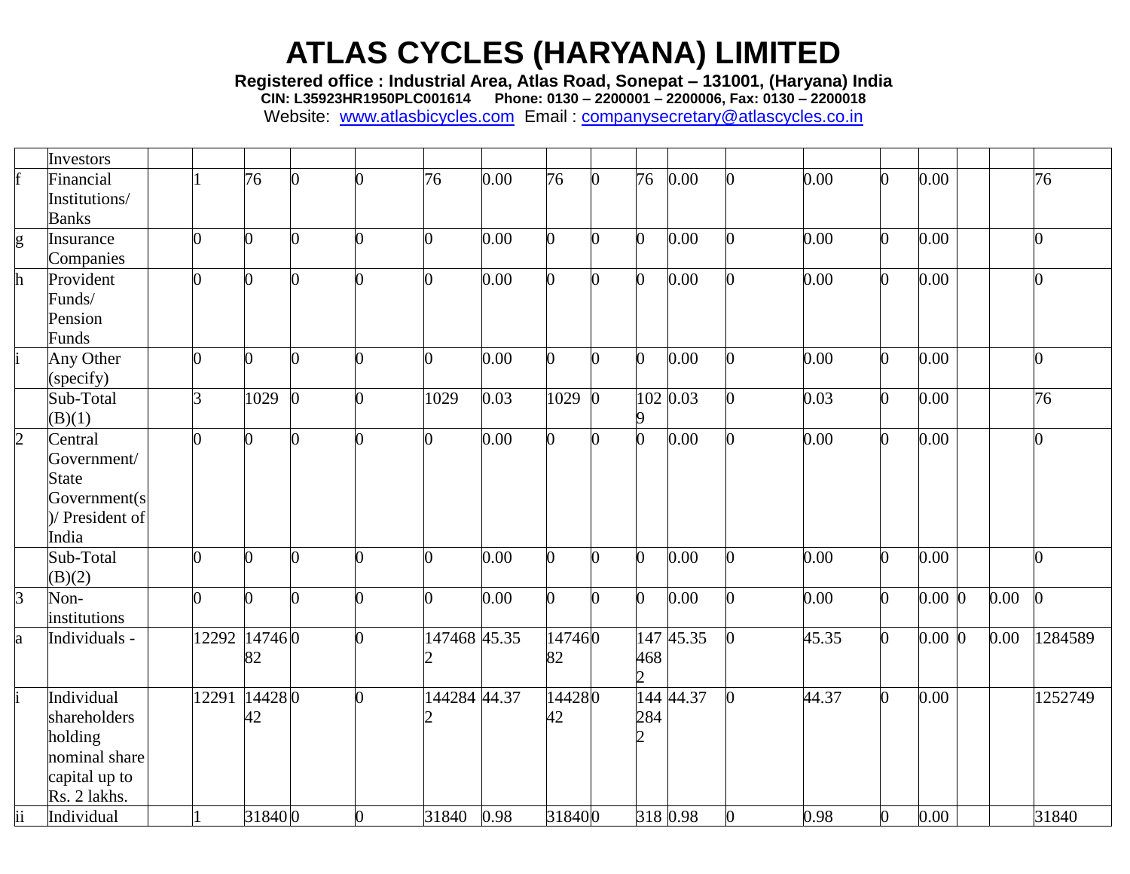**Registered office : Industrial Area, Atlas Road, Sonepat – 131001, (Haryana) India**

**CIN: L35923HR1950PLC001614 Phone: 0130 – 2200001 – 2200006, Fax: 0130 – 2200018**

|                | Investors       |                |              |                |          |                |      |        |    |                |           |          |       |                |           |          |                |
|----------------|-----------------|----------------|--------------|----------------|----------|----------------|------|--------|----|----------------|-----------|----------|-------|----------------|-----------|----------|----------------|
|                | Financial       |                | 76           | $\overline{0}$ |          | 76             | 0.00 | 76     |    | 76             | 0.00      |          | 0.00  | 0              | 0.00      |          | 76             |
|                | Institutions/   |                |              |                |          |                |      |        |    |                |           |          |       |                |           |          |                |
|                | <b>Banks</b>    |                |              |                |          |                |      |        |    |                |           |          |       |                |           |          |                |
| g              | Insurance       |                | 0            | O              |          | $\overline{0}$ | 0.00 |        |    | $\overline{0}$ | 0.00      |          | 0.00  | 0              | 0.00      |          | $\overline{0}$ |
|                | Companies       |                |              |                |          |                |      |        |    |                |           |          |       |                |           |          |                |
| h              | Provident       | O              | 0            | 0              |          | $\overline{0}$ | 0.00 |        |    | 0              | 0.00      |          | 0.00  | 0              | 0.00      |          | $\overline{0}$ |
|                | Funds/          |                |              |                |          |                |      |        |    |                |           |          |       |                |           |          |                |
|                | Pension         |                |              |                |          |                |      |        |    |                |           |          |       |                |           |          |                |
|                | Funds           |                |              |                |          |                |      |        |    |                |           |          |       |                |           |          |                |
|                | Any Other       | U              | <sup>o</sup> | ∩              |          | $\overline{0}$ | 0.00 | 0      |    | 0              | 0.00      |          | 0.00  | $\overline{0}$ | 0.00      |          | $\bf{0}$       |
|                | (specify)       |                |              |                |          |                |      |        |    |                |           |          |       |                |           |          |                |
|                | Sub-Total       | $\overline{3}$ | 1029         | $\Omega$       | $\Omega$ | 1029           | 0.03 | 1029   |    |                | 102 0.03  | O.       | 0.03  | $\overline{0}$ | 0.00      |          | 76             |
|                | (B)(1)          |                |              |                |          |                |      |        |    |                |           |          |       |                |           |          |                |
| $\overline{2}$ | Central         | 0              | 0            | 0              |          | $\overline{0}$ | 0.00 | 0      |    | $\overline{0}$ | 0.00      |          | 0.00  | $\overline{0}$ | 0.00      |          | $\overline{0}$ |
|                | Government/     |                |              |                |          |                |      |        |    |                |           |          |       |                |           |          |                |
|                | <b>State</b>    |                |              |                |          |                |      |        |    |                |           |          |       |                |           |          |                |
|                | Government(s    |                |              |                |          |                |      |        |    |                |           |          |       |                |           |          |                |
|                | )/ President of |                |              |                |          |                |      |        |    |                |           |          |       |                |           |          |                |
|                | India           |                |              |                |          |                |      |        |    |                |           |          |       |                |           |          |                |
|                | Sub-Total       |                | <sup>o</sup> | U              |          | $\overline{0}$ | 0.00 | 0      |    | 0              | 0.00      |          | 0.00  | $\overline{0}$ | 0.00      |          | O.             |
|                | (B)(2)          |                |              |                |          |                |      |        |    |                |           |          |       |                |           |          |                |
| $\mathsf B$    | Non-            | O              | O.           | $\Omega$       | 0        | $\overline{0}$ | 0.00 | 0      | O. | $\overline{0}$ | 0.00      | 0        | 0.00  | $\overline{0}$ | $0.00\,0$ | $0.00\,$ | $\Omega$       |
|                | institutions    |                |              |                |          |                |      |        |    |                |           |          |       |                |           |          |                |
| a              | Individuals -   | 12292 14746 0  |              |                |          | 147468 45.35   |      | 147460 |    |                | 147 45.35 | $\bf{0}$ | 45.35 | $\overline{0}$ | $0.00\,0$ | 0.00     | 1284589        |
|                |                 |                | 82           |                |          | 2              |      | 82     |    | 468            |           |          |       |                |           |          |                |
|                |                 |                |              |                |          |                |      |        |    |                |           |          |       |                |           |          |                |
|                | Individual      | 12291          | 144280       |                | n.       | 144284 44.37   |      | 144280 |    |                | 144 44.37 | O.       | 44.37 | $\overline{0}$ | 0.00      |          | 1252749        |
|                | shareholders    |                | 42           |                |          | $\overline{2}$ |      | 42     |    | 284            |           |          |       |                |           |          |                |
|                | holding         |                |              |                |          |                |      |        |    |                |           |          |       |                |           |          |                |
|                | nominal share   |                |              |                |          |                |      |        |    |                |           |          |       |                |           |          |                |
|                | capital up to   |                |              |                |          |                |      |        |    |                |           |          |       |                |           |          |                |
|                | Rs. 2 lakhs.    |                |              |                |          |                |      |        |    |                |           |          |       |                |           |          |                |
| ii             | Individual      |                | 318400       |                | $\Omega$ | 31840          | 0.98 | 318400 |    |                | 318 0.98  | 0        | 0.98  | $\overline{0}$ | 0.00      |          | 31840          |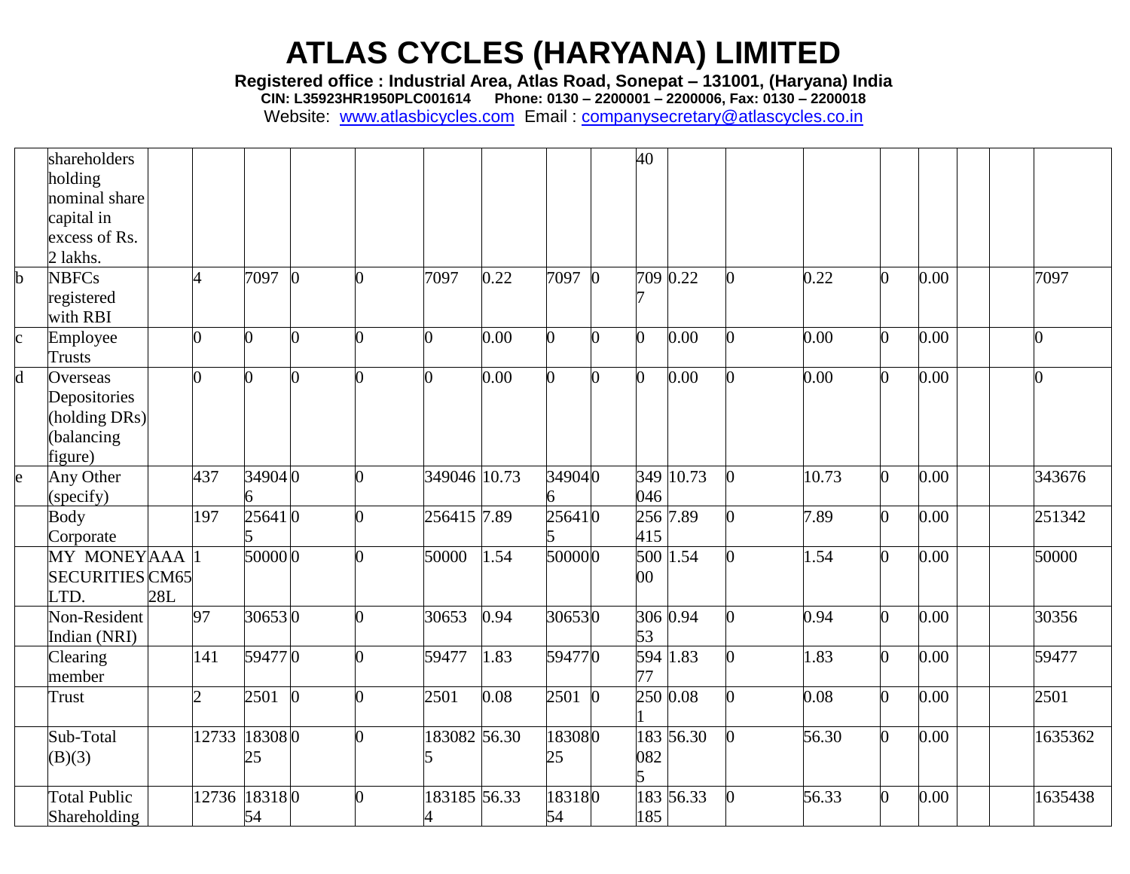**Registered office : Industrial Area, Atlas Road, Sonepat – 131001, (Haryana) India**

**CIN: L35923HR1950PLC001614 Phone: 0130 – 2200001 – 2200006, Fax: 0130 – 2200018**

|              | shareholders           |     |                |                |                |          |              |      |          |          | 40     |           |       |   |      |                |
|--------------|------------------------|-----|----------------|----------------|----------------|----------|--------------|------|----------|----------|--------|-----------|-------|---|------|----------------|
|              | holding                |     |                |                |                |          |              |      |          |          |        |           |       |   |      |                |
|              | nominal share          |     |                |                |                |          |              |      |          |          |        |           |       |   |      |                |
|              | capital in             |     |                |                |                |          |              |      |          |          |        |           |       |   |      |                |
|              | excess of Rs.          |     |                |                |                |          |              |      |          |          |        |           |       |   |      |                |
|              | 2 lakhs.               |     |                |                |                |          |              |      |          |          |        |           |       |   |      |                |
| $\mathbf b$  | <b>NBFCs</b>           |     | Δ              | 7097           | $\overline{0}$ | 0        | 7097         | 0.22 | 7097 0   |          |        | 709 0.22  | 0.22  |   | 0.00 | 7097           |
|              | registered             |     |                |                |                |          |              |      |          |          |        |           |       |   |      |                |
|              | with RBI               |     |                |                |                |          |              |      |          |          |        |           |       |   |      |                |
| $\mathbf{c}$ | Employee               |     | $\overline{0}$ | $\overline{0}$ | O.             | ∩        | 0            | 0.00 | 0        | n        | O.     | 0.00      | 0.00  | 0 | 0.00 | $\overline{0}$ |
|              | Trusts                 |     |                |                |                |          |              |      |          |          |        |           |       |   |      |                |
| d            | Overseas               |     | $\overline{0}$ | 0              |                | 0        | 0            | 0.00 | $\Omega$ | n        | n      | 0.00      | 0.00  |   | 0.00 |                |
|              | Depositories           |     |                |                |                |          |              |      |          |          |        |           |       |   |      |                |
|              | holding DRs)           |     |                |                |                |          |              |      |          |          |        |           |       |   |      |                |
|              | balancing              |     |                |                |                |          |              |      |          |          |        |           |       |   |      |                |
|              | figure)                |     |                |                |                |          |              |      |          |          |        |           |       |   |      |                |
| e            | Any Other              |     | 437            | 349040         |                | 0        | 349046 10.73 |      | 349040   |          |        | 349 10.73 | 10.73 |   | 0.00 | 343676         |
|              | (specify)              |     |                | 6              |                |          |              |      |          |          | 046    |           |       |   |      |                |
|              | <b>Body</b>            |     | 197            | 256410         |                |          | 256415 7.89  |      | 256410   |          |        | 256 7.89  | 7.89  | 0 | 0.00 | 251342         |
|              | Corporate              |     |                |                |                |          |              |      |          |          | 415    |           |       |   |      |                |
|              | MY MONEYAAA            |     |                | 500000         |                | ∩        | 50000        | 1.54 | 500000   |          |        | 500 1.54  | 1.54  |   | 0.00 | 50000          |
|              | <b>SECURITIES CM65</b> |     |                |                |                |          |              |      |          |          | $00\,$ |           |       |   |      |                |
|              | LTD.                   | 28L |                |                |                |          |              |      |          |          |        |           |       |   |      |                |
|              | Non-Resident           |     | 97             | 306530         |                | ∩        | 30653        | 0.94 | 306530   |          |        | 306 0.94  | 0.94  |   | 0.00 | 30356          |
|              | Indian (NRI)           |     |                |                |                |          |              |      |          |          | 53     |           |       |   |      |                |
|              | Clearing               |     | 141            | 594770         |                |          | 59477        | 1.83 | 594770   |          |        | 594 1.83  | 1.83  |   | 0.00 | 59477          |
|              | member                 |     |                |                |                |          |              |      |          |          | 77     |           |       |   |      |                |
|              | Trust                  |     | っ              | 2501           | $\overline{0}$ |          | 2501         | 0.08 | 2501     | $\bf{0}$ |        | 250 0.08  | 0.08  |   | 0.00 | 2501           |
|              |                        |     |                |                |                |          |              |      |          |          |        |           |       |   |      |                |
|              | Sub-Total              |     | 12733          | 183080         |                | $\Omega$ | 183082 56.30 |      | 183080   |          |        | 183 56.30 | 56.30 | ∩ | 0.00 | 1635362        |
|              | B(3)                   |     |                | 25             |                |          |              |      | 25       |          | 082    |           |       |   |      |                |
|              |                        |     |                |                |                |          |              |      |          |          |        |           |       |   |      |                |
|              | <b>Total Public</b>    |     | 12736 18318 0  |                |                |          | 183185 56.33 |      | 183180   |          |        | 183 56.33 | 56.33 |   | 0.00 | 1635438        |
|              | Shareholding           |     |                | 54             |                |          |              |      | 54       |          | 185    |           |       |   |      |                |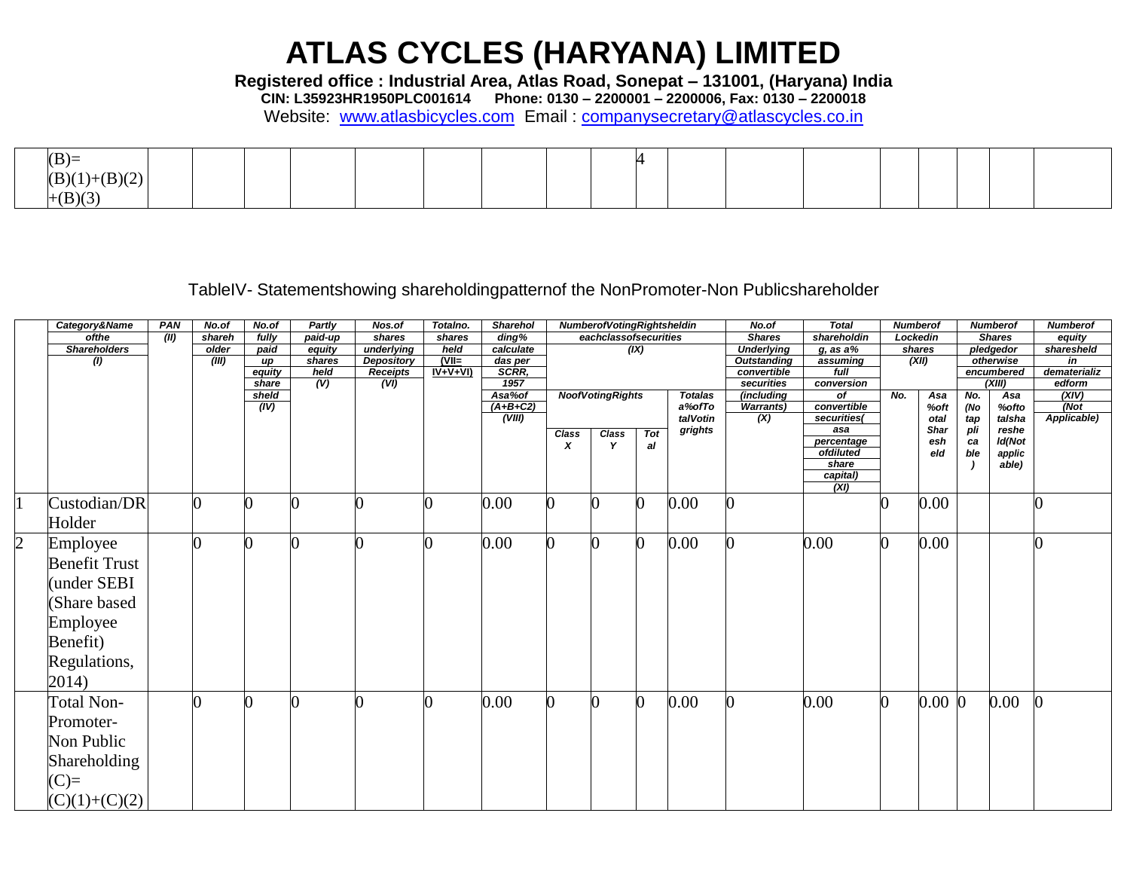**Registered office : Industrial Area, Atlas Road, Sonepat – 131001, (Haryana) India**

**CIN: L35923HR1950PLC001614 Phone: 0130 – 2200001 – 2200006, Fax: 0130 – 2200018**

Website: [www.atlasbicycles.com](http://www.atlasbicycles.com/) Email : [companysecretary@atlascycles.co.in](mailto:companysecretary@atlascycles.co.in)

| $(B)=$                       |  |  |  |  |  |  |  |  |  |
|------------------------------|--|--|--|--|--|--|--|--|--|
| (D)/2<br>(B)(<br>(*/*/*/*/*/ |  |  |  |  |  |  |  |  |  |
| (B)(3)                       |  |  |  |  |  |  |  |  |  |

#### TableIV- Statementshowing shareholdingpatternof the NonPromoter-Non Publicshareholder

|                | Category&Name        | PAN<br>No.of<br>Partly<br>Nos.of<br>No.of<br>Totalno.<br><b>Sharehol</b><br>NumberofVotingRightsheldin |       |                     | No.of                                                                                 | <b>Total</b><br><b>Numberof</b> |              |                                   | <b>Numberof</b>           |                         | <b>Numberof</b> |                         |                           |                         |            |             |            |                 |             |
|----------------|----------------------|--------------------------------------------------------------------------------------------------------|-------|---------------------|---------------------------------------------------------------------------------------|---------------------------------|--------------|-----------------------------------|---------------------------|-------------------------|-----------------|-------------------------|---------------------------|-------------------------|------------|-------------|------------|-----------------|-------------|
|                | ofthe                | $\sqrt{(II)}$<br>fully<br>paid-up<br>shares<br>shareh<br>shares                                        |       | $\overline{diag\%}$ | eachclassofsecurities                                                                 |                                 |              | <b>Shares</b>                     | shareholdin               |                         | Lockedin        |                         | <b>Shares</b>             | equity                  |            |             |            |                 |             |
|                | <b>Shareholders</b>  | paid<br>underlying<br>held<br>older<br>equity                                                          |       | calculate           | (IX)                                                                                  |                                 |              |                                   | <b>Underlying</b>         | $g$ , as a $%$          |                 | shares                  |                           | pledgedor               | sharesheld |             |            |                 |             |
|                | (1)                  |                                                                                                        | (III) | equity              | <b>Depository</b><br>$(VII=$<br>shares<br>das per<br>иp<br>SCRR.<br>$IV+V+VI$<br>held |                                 |              | <b>Outstanding</b><br>convertible | (XII)<br>assuming<br>full |                         |                 | otherwise<br>encumbered |                           | in<br>dematerializ      |            |             |            |                 |             |
|                |                      |                                                                                                        |       | share               | (V)                                                                                   | <b>Receipts</b><br>(VI)         |              | 1957                              |                           |                         | securities      | conversion              |                           |                         | (XIII)     |             | edform     |                 |             |
|                |                      |                                                                                                        |       | sheld               |                                                                                       |                                 |              | Asa%of                            |                           | <b>NoofVotingRights</b> |                 | <b>Totalas</b>          | (including                | of                      | No.        | Asa         | No.        | Asa             | (XIV)       |
|                |                      |                                                                                                        |       | (IV)                |                                                                                       |                                 |              | $(A+B+C2)$                        |                           |                         |                 | a%ofTo                  | <b>Warrants)</b>          | convertible             |            | %oft        | (No        | %ofto           | (Not        |
|                |                      |                                                                                                        |       |                     |                                                                                       |                                 |              | (VIII)                            |                           |                         |                 | talVotin                | $\overline{(\mathsf{X})}$ | securities(             |            | otal        | tap<br>pli | talsha          | Applicable) |
|                |                      |                                                                                                        |       |                     |                                                                                       |                                 |              |                                   | Class                     | <b>Class</b>            | Tot             | grights                 |                           | asa                     |            | <b>Shar</b> |            | reshe           |             |
|                |                      |                                                                                                        |       |                     |                                                                                       |                                 |              |                                   |                           |                         | al              |                         |                           | percentage<br>ofdiluted |            | esh<br>eld  | ca<br>ble  | Id(Not          |             |
|                |                      |                                                                                                        |       |                     |                                                                                       |                                 |              |                                   |                           |                         |                 |                         |                           | share                   |            |             |            | applic<br>able) |             |
|                |                      |                                                                                                        |       |                     |                                                                                       |                                 |              |                                   |                           |                         |                 |                         |                           | capital)                |            |             |            |                 |             |
|                |                      |                                                                                                        |       |                     |                                                                                       |                                 |              |                                   |                           |                         |                 |                         |                           | (XI)                    |            |             |            |                 |             |
|                | Custodian/DR         |                                                                                                        |       |                     |                                                                                       |                                 | O            | 0.00                              | 0                         |                         | 0               | 0.00                    |                           |                         |            | 0.00        |            |                 |             |
|                | Holder               |                                                                                                        |       |                     |                                                                                       |                                 |              |                                   |                           |                         |                 |                         |                           |                         |            |             |            |                 |             |
|                |                      |                                                                                                        |       |                     |                                                                                       |                                 |              |                                   |                           |                         |                 |                         |                           |                         |            |             |            |                 |             |
| $\overline{2}$ | Employee             |                                                                                                        |       |                     |                                                                                       |                                 | O            | 0.00                              |                           |                         | $\Omega$        | 0.00                    |                           | 0.00                    | 0          | 0.00        |            |                 |             |
|                | <b>Benefit Trust</b> |                                                                                                        |       |                     |                                                                                       |                                 |              |                                   |                           |                         |                 |                         |                           |                         |            |             |            |                 |             |
|                |                      |                                                                                                        |       |                     |                                                                                       |                                 |              |                                   |                           |                         |                 |                         |                           |                         |            |             |            |                 |             |
|                | (under SEBI          |                                                                                                        |       |                     |                                                                                       |                                 |              |                                   |                           |                         |                 |                         |                           |                         |            |             |            |                 |             |
|                | (Share based         |                                                                                                        |       |                     |                                                                                       |                                 |              |                                   |                           |                         |                 |                         |                           |                         |            |             |            |                 |             |
|                | Employee             |                                                                                                        |       |                     |                                                                                       |                                 |              |                                   |                           |                         |                 |                         |                           |                         |            |             |            |                 |             |
|                |                      |                                                                                                        |       |                     |                                                                                       |                                 |              |                                   |                           |                         |                 |                         |                           |                         |            |             |            |                 |             |
|                | Benefit)             |                                                                                                        |       |                     |                                                                                       |                                 |              |                                   |                           |                         |                 |                         |                           |                         |            |             |            |                 |             |
|                | Regulations,         |                                                                                                        |       |                     |                                                                                       |                                 |              |                                   |                           |                         |                 |                         |                           |                         |            |             |            |                 |             |
|                | 2014)                |                                                                                                        |       |                     |                                                                                       |                                 |              |                                   |                           |                         |                 |                         |                           |                         |            |             |            |                 |             |
|                | <b>Total Non-</b>    |                                                                                                        |       |                     |                                                                                       |                                 | <sup>0</sup> | 0.00                              | 0                         |                         | $\bf{0}$        | 0.00                    |                           | 0.00                    | $\bf{0}$   | $0.00\,0$   |            | 0.00            | $\Omega$    |
|                | Promoter-            |                                                                                                        |       |                     |                                                                                       |                                 |              |                                   |                           |                         |                 |                         |                           |                         |            |             |            |                 |             |
|                | Non Public           |                                                                                                        |       |                     |                                                                                       |                                 |              |                                   |                           |                         |                 |                         |                           |                         |            |             |            |                 |             |
|                |                      |                                                                                                        |       |                     |                                                                                       |                                 |              |                                   |                           |                         |                 |                         |                           |                         |            |             |            |                 |             |
|                | <b>Shareholding</b>  |                                                                                                        |       |                     |                                                                                       |                                 |              |                                   |                           |                         |                 |                         |                           |                         |            |             |            |                 |             |
|                | $(C)=$               |                                                                                                        |       |                     |                                                                                       |                                 |              |                                   |                           |                         |                 |                         |                           |                         |            |             |            |                 |             |
|                |                      |                                                                                                        |       |                     |                                                                                       |                                 |              |                                   |                           |                         |                 |                         |                           |                         |            |             |            |                 |             |
|                | $(C)(1)+(C)(2)$      |                                                                                                        |       |                     |                                                                                       |                                 |              |                                   |                           |                         |                 |                         |                           |                         |            |             |            |                 |             |